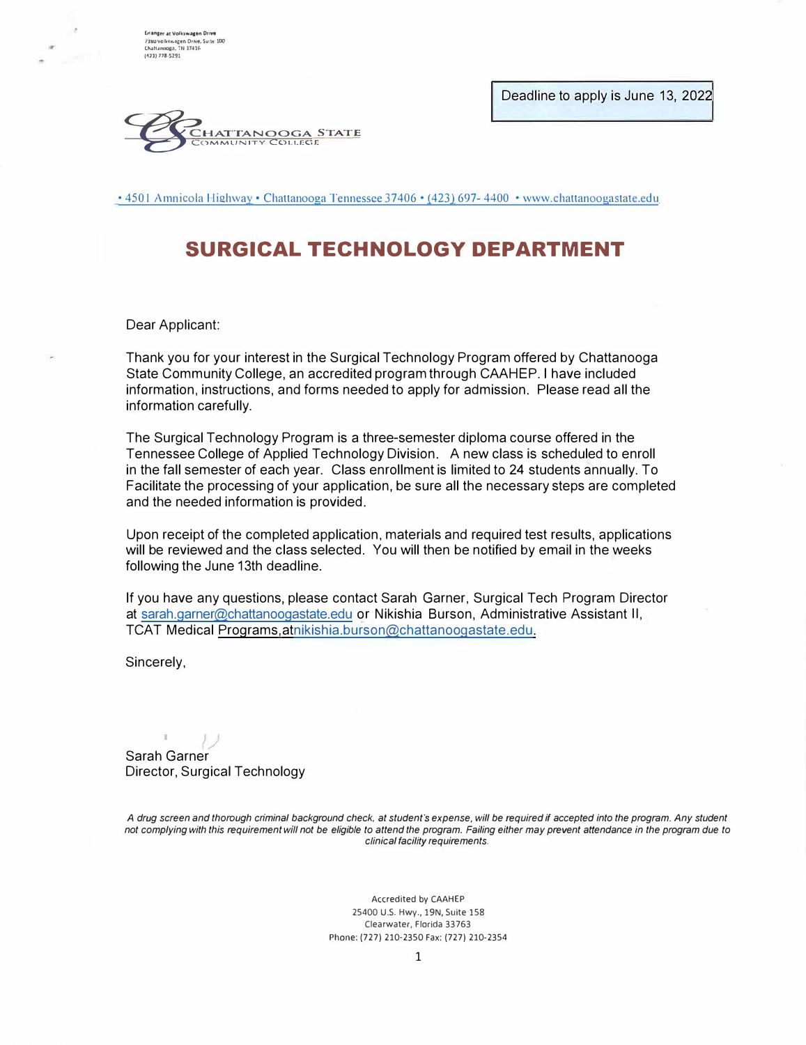Deadline to apply is June 13, 2022

**Erinnger at Volkswagen Drive<br>7380 volkswagen Drive, Su lt 100<br>Chaftanooga, TN 37416<br>(473) 778-5291** 



• 4501 Amnicola Highway • Chattanooga Tennessee 37406 • (423) 697- 4400 • www.chattanoogastate.edu

# **SURGICAL TECHNOLOGY DEPARTMENT**

Dear Applicant:

Thank you for your interest in the Surgical Technology Program offered by Chattanooga State Community College, an accredited program through CAAHEP. I have included information, instructions, and forms needed to apply for admission. Please read all the information carefully.

The Surgical Technology Program is a three-semester diploma course offered in the Tennessee College of Applied Technology Division. A new class is scheduled to enroll in the fall semester of each year. Class enrollment is limited to 24 students annually. To Facilitate the processing of your application, be sure all the necessary steps are completed and the needed information is provided.

Upon receipt of the completed application, materials and required test results, applications will be reviewed and the class selected. You will then be notified by email in the weeks following the June 13th deadline.

If you have any questions, please contact Sarah Garner, Surgical Tech Program Director at sarah.garner@chattanoogastate.edu or Nikishia Burson, Administrative Assistant II, TCAT Medical Programs,atnikishia.burson@chattanoogastate.edu.

Sincerely,

T.

Sarah Garner Director, Surgical Technology

*A drug screen and thorough criminal background check, at student's expense, will be required if accepted into the program. Any student not complying with this requirement will not be eligible to attend the program. Failing either may prevent attendance in the program due to clinical facility requirements.* 

> Accredited by CAAHEP 25400 U.S. Hwy., 19N, Suite 158 Clearwater, Florida 33763 Phone: (727) 210-2350 Fax: (727) 210-2354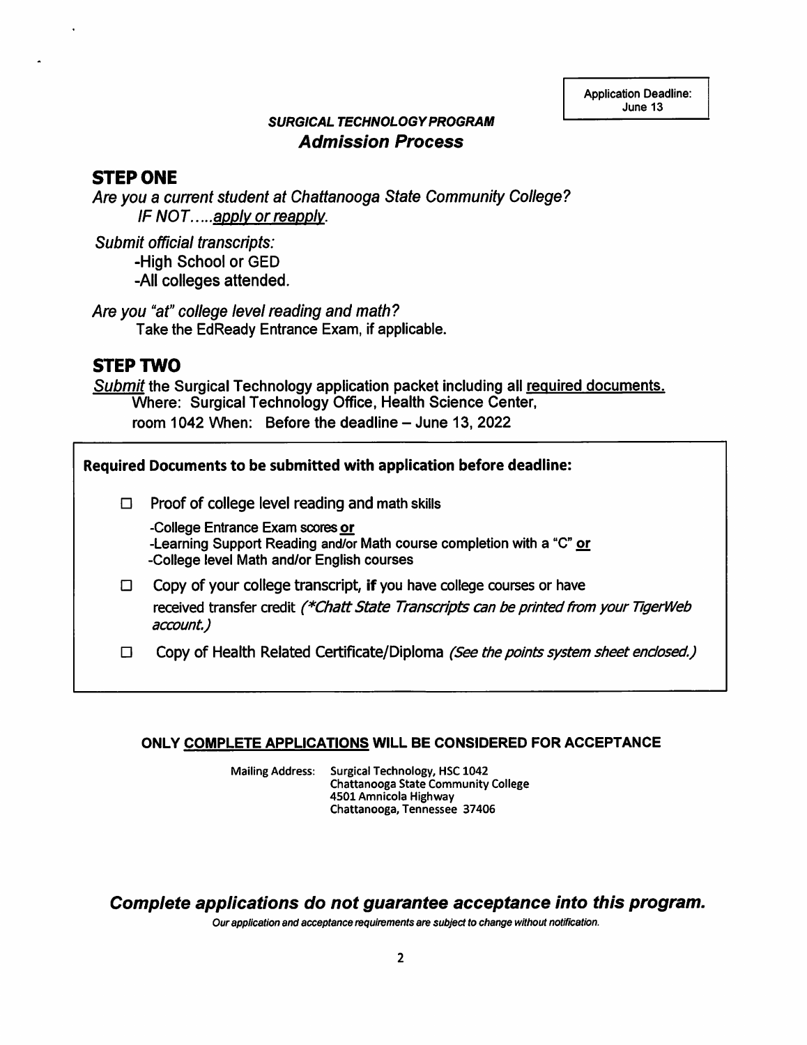**Application Deadline:** June 13

### **SURGICAL TECHNOLOGY PROGRAM Admission Process**

### **STEP ONE**

Are you a current student at Chattanooga State Community College? IF NOT.....apply or reapply.

Submit official transcripts: -High School or GED -All colleges attended.

Are you "at" college level reading and math? Take the EdReady Entrance Exam, if applicable.

## **STEP TWO**

Submit the Surgical Technology application packet including all required documents. Where: Surgical Technology Office, Health Science Center, room 1042 When: Before the deadline - June 13, 2022

Required Documents to be submitted with application before deadline:

 $\Box$  Proof of college level reading and math skills

-College Entrance Exam scores or -Learning Support Reading and/or Math course completion with a "C" or -College level Math and/or English courses

 $\Box$  Copy of your college transcript, if you have college courses or have received transfer credit (\*Chatt State Transcripts can be printed from your TigerWeb account.)

Copy of Health Related Certificate/Diploma (See the points system sheet enclosed.)  $\Box$ 

#### ONLY COMPLETE APPLICATIONS WILL BE CONSIDERED FOR ACCEPTANCE

Surgical Technology, HSC 1042 **Mailing Address: Chattanooga State Community College** 4501 Amnicola Highway Chattanooga, Tennessee 37406

Complete applications do not guarantee acceptance into this program.

Our application and acceptance requirements are subject to change without notification.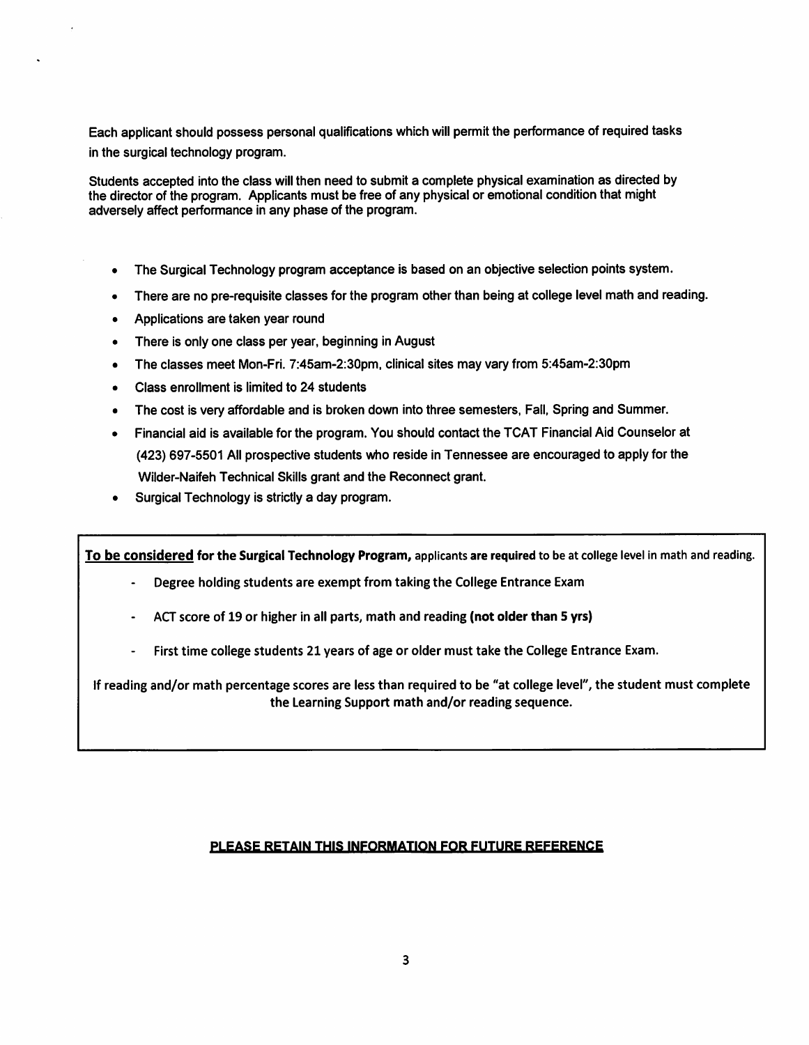Each applicant should possess personal qualifications which will permit the performance of required tasks in the surgical technology program.

Students accepted into the class will then need to submit a complete physical examination as directed by the director of the program. Applicants must be free of any physical or emotional condition that might adversely affect performance in any phase of the program.

- The Surgical Technology program acceptance is based on an objective selection points system.  $\bullet$
- There are no pre-requisite classes for the program other than being at college level math and reading.
- Applications are taken year round
- There is only one class per year, beginning in August
- The classes meet Mon-Fri. 7:45am-2:30pm, clinical sites may vary from 5:45am-2:30pm
- Class enrollment is limited to 24 students
- The cost is very affordable and is broken down into three semesters, Fall, Spring and Summer.
- Financial aid is available for the program. You should contact the TCAT Financial Aid Counselor at (423) 697-5501 All prospective students who reside in Tennessee are encouraged to apply for the Wilder-Naifeh Technical Skills grant and the Reconnect grant.
- Surgical Technology is strictly a day program.

To be considered for the Surgical Technology Program, applicants are required to be at college level in math and reading.

- Degree holding students are exempt from taking the College Entrance Exam
- ACT score of 19 or higher in all parts, math and reading (not older than 5 yrs)
- First time college students 21 years of age or older must take the College Entrance Exam.

If reading and/or math percentage scores are less than required to be "at college level", the student must complete the Learning Support math and/or reading sequence.

#### PLEASE RETAIN THIS INFORMATION FOR FUTURE REFERENCE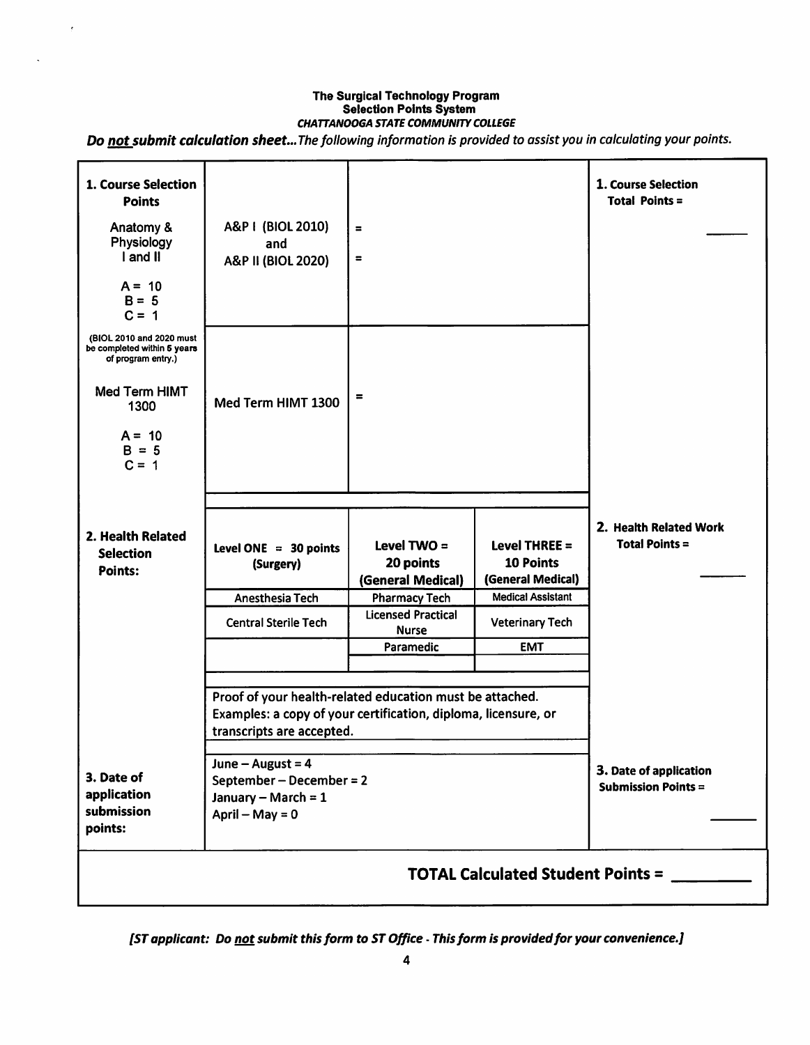# The Surgical Technology Program<br>Selection Points System **CHATTANOOGA STATE COMMUNITY COLLEGE**

 $\overline{\mathbf{r}}$ 

Do not submit calculation sheet... The following information is provided to assist you in calculating your points.

| 1. Course Selection<br><b>Points</b><br>Anatomy &<br>Physiology<br>I and II<br>$A = 10$<br>$B = 5$<br>$C = 1$                            | A&P I (BIOL 2010)<br>and<br>A&P II (BIOL 2020)                                                                                                                                                                                                           | $\equiv$<br>$\equiv$                                                    |                                                                                      | 1. Course Selection<br><b>Total Points =</b> |  |  |  |
|------------------------------------------------------------------------------------------------------------------------------------------|----------------------------------------------------------------------------------------------------------------------------------------------------------------------------------------------------------------------------------------------------------|-------------------------------------------------------------------------|--------------------------------------------------------------------------------------|----------------------------------------------|--|--|--|
| (BIOL 2010 and 2020 must<br>be completed within 5 years<br>of program entry.)<br>Med Term HIMT<br>1300<br>$A = 10$<br>$B = 5$<br>$C = 1$ | Med Term HIMT 1300                                                                                                                                                                                                                                       | $\equiv$                                                                |                                                                                      |                                              |  |  |  |
| 2. Health Related<br><b>Selection</b><br><b>Points:</b>                                                                                  | Level ONE = $30$ points<br>(Surgery)<br>Anesthesia Tech                                                                                                                                                                                                  | Level TWO $=$<br>20 points<br>(General Medical)<br><b>Pharmacy Tech</b> | Level THREE $=$<br><b>10 Points</b><br>(General Medical)<br><b>Medical Assistant</b> | 2. Health Related Work<br>Total Points $=$   |  |  |  |
|                                                                                                                                          | <b>Central Sterile Tech</b>                                                                                                                                                                                                                              | <b>Licensed Practical</b><br><b>Nurse</b><br>Paramedic                  | <b>Veterinary Tech</b><br><b>EMT</b>                                                 |                                              |  |  |  |
| 3. Date of<br>application<br>submission<br>points:                                                                                       | Proof of your health-related education must be attached.<br>Examples: a copy of your certification, diploma, licensure, or<br>transcripts are accepted.<br>June $-$ August = 4<br>September – December = 2<br>January - March = $1$<br>April - May = $0$ | 3. Date of application<br><b>Submission Points =</b>                    |                                                                                      |                                              |  |  |  |
| <b>TOTAL Calculated Student Points =</b>                                                                                                 |                                                                                                                                                                                                                                                          |                                                                         |                                                                                      |                                              |  |  |  |

[ST applicant: Do not submit this form to ST Office - This form is provided for your convenience.]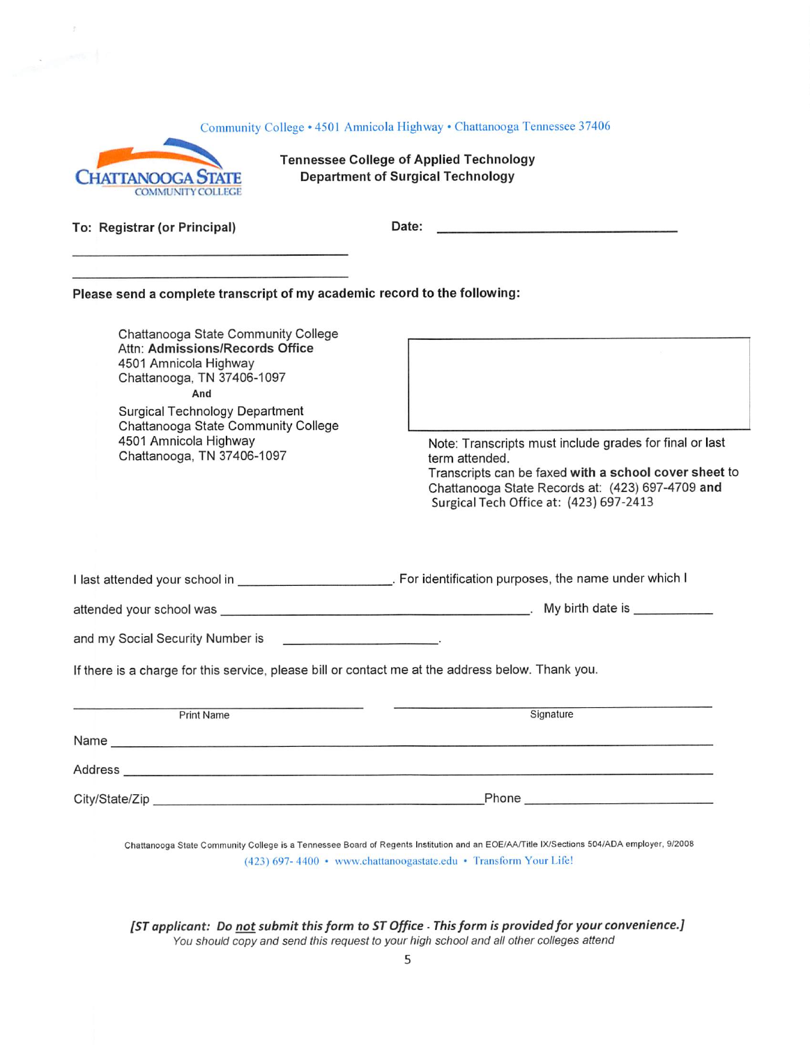| Community College • 4501 Amnicola Highway • Chattanooga Tennessee 37406<br><b>Tennessee College of Applied Technology</b><br><b>Department of Surgical Technology</b><br><b>CHATTANOOGA</b><br><b>COMMUNITY COLLEGE</b>                                                     |                                                                                                                                                                                                                                   |  |  |  |  |  |
|-----------------------------------------------------------------------------------------------------------------------------------------------------------------------------------------------------------------------------------------------------------------------------|-----------------------------------------------------------------------------------------------------------------------------------------------------------------------------------------------------------------------------------|--|--|--|--|--|
| To: Registrar (or Principal)                                                                                                                                                                                                                                                | <b>Date:</b>                                                                                                                                                                                                                      |  |  |  |  |  |
| Please send a complete transcript of my academic record to the following:                                                                                                                                                                                                   |                                                                                                                                                                                                                                   |  |  |  |  |  |
| Chattanooga State Community College<br>Attn: Admissions/Records Office<br>4501 Amnicola Highway<br>Chattanooga, TN 37406-1097<br>And<br><b>Surgical Technology Department</b><br>Chattanooga State Community College<br>4501 Amnicola Highway<br>Chattanooga, TN 37406-1097 | Note: Transcripts must include grades for final or last<br>term attended.<br>Transcripts can be faxed with a school cover sheet to<br>Chattanooga State Records at: (423) 697-4709 and<br>Surgical Tech Office at: (423) 697-2413 |  |  |  |  |  |
|                                                                                                                                                                                                                                                                             | I last attended your school in ________________________. For identification purposes, the name under which I                                                                                                                      |  |  |  |  |  |
|                                                                                                                                                                                                                                                                             |                                                                                                                                                                                                                                   |  |  |  |  |  |
| and my Social Security Number is                                                                                                                                                                                                                                            |                                                                                                                                                                                                                                   |  |  |  |  |  |
| If there is a charge for this service, please bill or contact me at the address below. Thank you.                                                                                                                                                                           |                                                                                                                                                                                                                                   |  |  |  |  |  |
| <b>Print Name</b>                                                                                                                                                                                                                                                           | Signature                                                                                                                                                                                                                         |  |  |  |  |  |
|                                                                                                                                                                                                                                                                             |                                                                                                                                                                                                                                   |  |  |  |  |  |
|                                                                                                                                                                                                                                                                             |                                                                                                                                                                                                                                   |  |  |  |  |  |
|                                                                                                                                                                                                                                                                             |                                                                                                                                                                                                                                   |  |  |  |  |  |
|                                                                                                                                                                                                                                                                             | Chattanooga State Community College is a Tennessee Board of Regents Institution and an EOE/AA/Title IX/Sections 504/ADA employer, 9/2008<br>(423) 697-4400 • www.chattanoogastate.edu • Transform Your Life!                      |  |  |  |  |  |

 $\mathcal{G}$ 

**All Concepts** 

[ST applicant: Do <u>not</u> submit this form to ST Office - This form is provided for your convenience.]<br>You should copy and send this request to your high school and all other colleges attend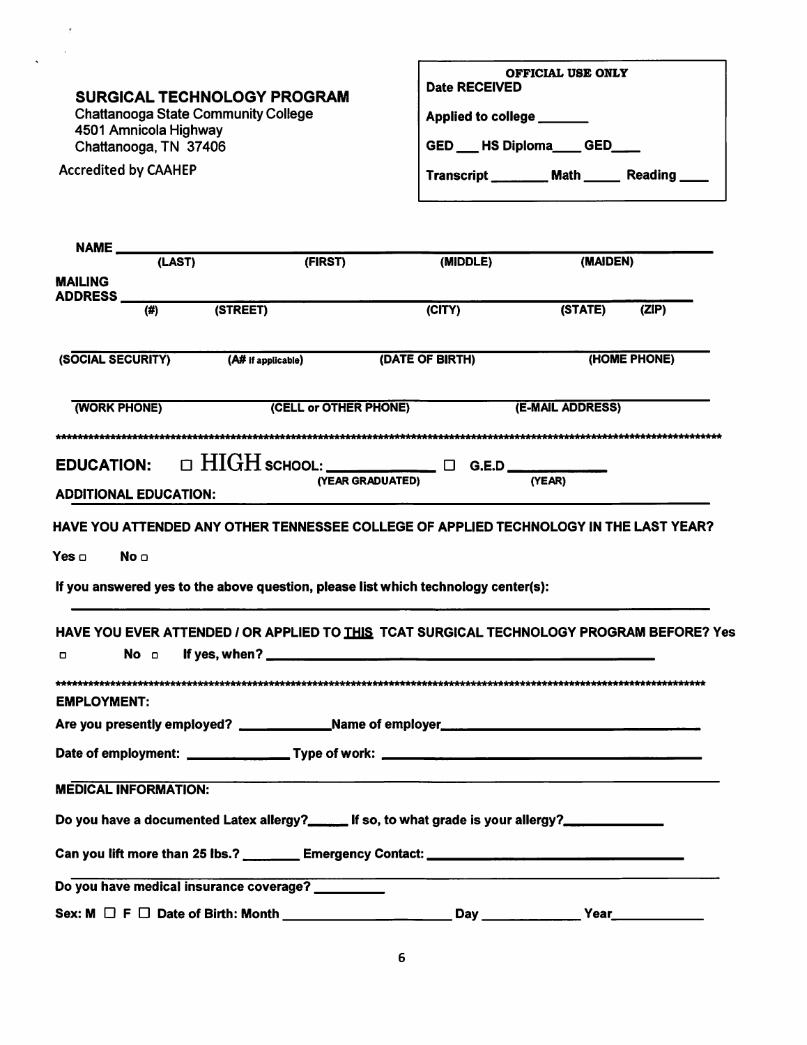| <b>SURGICAL TECHNOLOGY PROGRAM</b>                                                                                        | OFFICIAL USE ONLY<br><b>Date RECEIVED</b><br>Applied to college ______<br>GED __ HS Diploma___ GED___<br>Transcript ________ Math ______ Reading ____ |                  |              |  |
|---------------------------------------------------------------------------------------------------------------------------|-------------------------------------------------------------------------------------------------------------------------------------------------------|------------------|--------------|--|
| <b>Chattanooga State Community College</b>                                                                                |                                                                                                                                                       |                  |              |  |
| 4501 Amnicola Highway<br>Chattanooga, TN 37406                                                                            |                                                                                                                                                       |                  |              |  |
| <b>Accredited by CAAHEP</b>                                                                                               |                                                                                                                                                       |                  |              |  |
|                                                                                                                           |                                                                                                                                                       |                  |              |  |
|                                                                                                                           |                                                                                                                                                       |                  |              |  |
| NAME (LAST)<br>(FIRST)                                                                                                    | (MIDDLE)                                                                                                                                              | (MAIDEN)         |              |  |
| <b>MAILING</b><br>ADDRESS                                                                                                 |                                                                                                                                                       |                  |              |  |
| (STREET)<br>$\overline{(\sharp)}$                                                                                         | $\overline{C}$ ITY)                                                                                                                                   | (STATE)          | (ZIP)        |  |
| (SOCIAL SECURITY)<br>(A# if applicable)                                                                                   | (DATE OF BIRTH)                                                                                                                                       |                  | (HOME PHONE) |  |
| (WORK PHONE)<br>(CELL or OTHER PHONE)                                                                                     |                                                                                                                                                       | (E-MAIL ADDRESS) |              |  |
| **************************                                                                                                |                                                                                                                                                       |                  |              |  |
| EDUCATION: $\Box$ HIGH school: $\Box$ G.E.D $\Box$                                                                        |                                                                                                                                                       |                  |              |  |
| (YEAR GRADUATED)<br><b>ADDITIONAL EDUCATION:</b>                                                                          |                                                                                                                                                       | (YEAR)           |              |  |
| HAVE YOU ATTENDED ANY OTHER TENNESSEE COLLEGE OF APPLIED TECHNOLOGY IN THE LAST YEAR?                                     |                                                                                                                                                       |                  |              |  |
| No <b>o</b>                                                                                                               |                                                                                                                                                       |                  |              |  |
|                                                                                                                           |                                                                                                                                                       |                  |              |  |
| If you answered yes to the above question, please list which technology center(s):                                        |                                                                                                                                                       |                  |              |  |
| HAVE YOU EVER ATTENDED / OR APPLIED TO THIS TCAT SURGICAL TECHNOLOGY PROGRAM BEFORE? Yes<br>If yes, when? _______________ |                                                                                                                                                       |                  |              |  |
| $\Box$<br>NO O                                                                                                            |                                                                                                                                                       |                  |              |  |
| <b>EMPLOYMENT:</b>                                                                                                        |                                                                                                                                                       |                  |              |  |
|                                                                                                                           |                                                                                                                                                       |                  |              |  |
|                                                                                                                           |                                                                                                                                                       |                  |              |  |
| <b>MEDICAL INFORMATION:</b>                                                                                               |                                                                                                                                                       |                  |              |  |
| Do you have a documented Latex allergy?______ If so, to what grade is your allergy?_____________                          |                                                                                                                                                       |                  |              |  |
|                                                                                                                           |                                                                                                                                                       |                  |              |  |
|                                                                                                                           |                                                                                                                                                       |                  |              |  |
| $Say: M \t\t\Box F \t\t\tD$ Date of Right: Month $Say$ Dav Year                                                           |                                                                                                                                                       |                  |              |  |

 $\overline{\mathbf{6}}$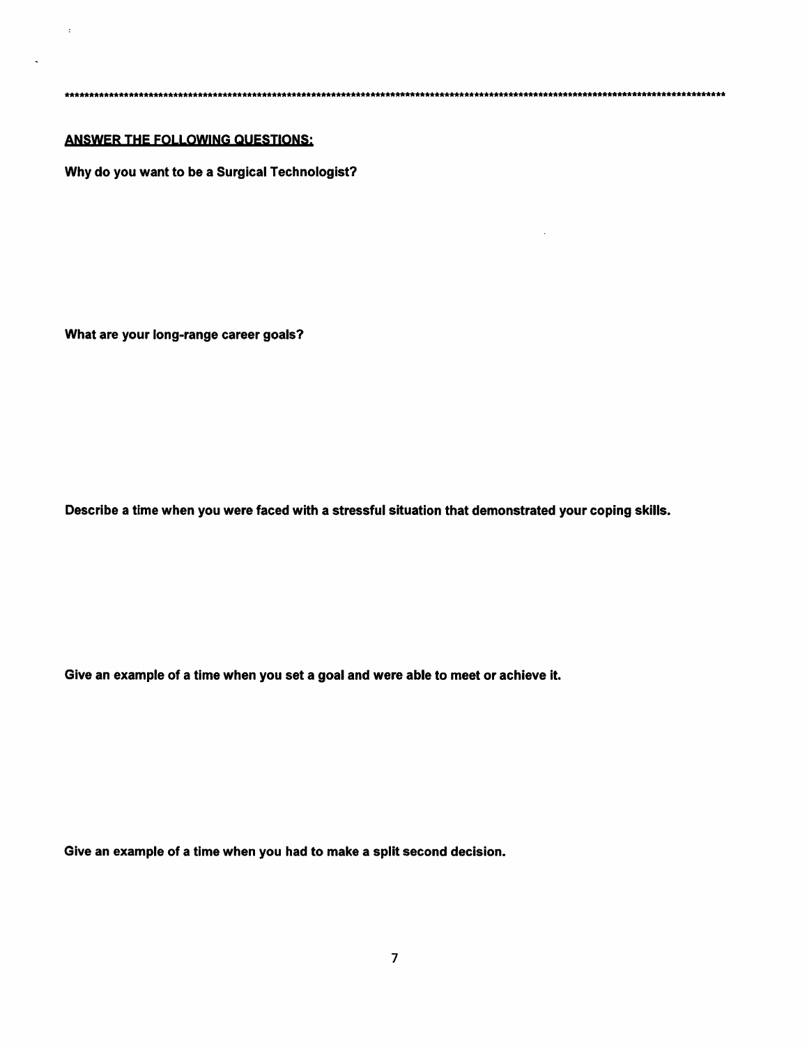#### **ANSWER THE FOLLOWING QUESTIONS:**

 $\pm$ 

 $\overline{\phantom{a}}$ 

Why do you want to be a Surgical Technologist?

What are your long-range career goals?

Describe a time when you were faced with a stressful situation that demonstrated your coping skills.

Give an example of a time when you set a goal and were able to meet or achieve it.

Give an example of a time when you had to make a split second decision.